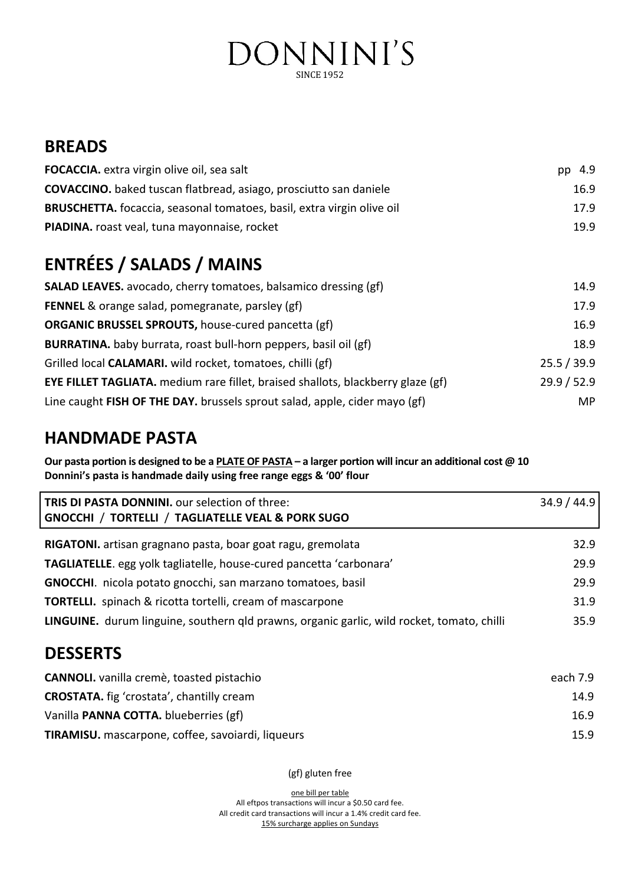# DONNINI'S **SINCE 1952**

# **BREADS**

| FOCACCIA. extra virgin olive oil, sea salt                                              | 4.9<br>pp   |
|-----------------------------------------------------------------------------------------|-------------|
| <b>COVACCINO.</b> baked tuscan flatbread, asiago, prosciutto san daniele                | 16.9        |
| <b>BRUSCHETTA.</b> focaccia, seasonal tomatoes, basil, extra virgin olive oil           | 17.9        |
| PIADINA. roast veal, tuna mayonnaise, rocket                                            | 19.9        |
| <b>ENTRÉES / SALADS / MAINS</b>                                                         |             |
| <b>SALAD LEAVES.</b> avocado, cherry tomatoes, balsamico dressing (gf)                  | 14.9        |
| <b>FENNEL</b> & orange salad, pomegranate, parsley (gf)                                 | 17.9        |
| <b>ORGANIC BRUSSEL SPROUTS, house-cured pancetta (gf)</b>                               | 16.9        |
| BURRATINA. baby burrata, roast bull-horn peppers, basil oil (gf)                        | 18.9        |
| Grilled local CALAMARI. wild rocket, tomatoes, chilli (gf)                              | 25.5 / 39.9 |
| <b>EYE FILLET TAGLIATA.</b> medium rare fillet, braised shallots, blackberry glaze (gf) | 29.9 / 52.9 |
| Line caught FISH OF THE DAY. brussels sprout salad, apple, cider mayo (gf)              | MP          |

# **HANDMADE PASTA**

**Our pasta portion is designed to be a PLATE OF PASTA – a larger portion will incur an additional cost @ 10 Donnini's pasta is handmade daily using free range eggs & '00' flour** 

| TRIS DI PASTA DONNINI. our selection of three:<br>GNOCCHI / TORTELLI / TAGLIATELLE VEAL & PORK SUGO | 34.9 / 44.9 |
|-----------------------------------------------------------------------------------------------------|-------------|
| RIGATONI. artisan gragnano pasta, boar goat ragu, gremolata                                         | 32.9        |
| TAGLIATELLE. egg yolk tagliatelle, house-cured pancetta 'carbonara'                                 | 29.9        |
| GNOCCHI. nicola potato gnocchi, san marzano tomatoes, basil                                         | 29.9        |
| <b>TORTELLI.</b> spinach & ricotta tortelli, cream of mascarpone                                    | 31.9        |
| LINGUINE. durum linguine, southern qld prawns, organic garlic, wild rocket, tomato, chilli          | 35.9        |

# **DESSERTS**

| <b>CANNOLI.</b> vanilla cremè, toasted pistachio  | each 7.9 |
|---------------------------------------------------|----------|
| <b>CROSTATA.</b> fig 'crostata', chantilly cream  | 14.9     |
| Vanilla <b>PANNA COTTA.</b> blueberries (gf)      | 16.9     |
| TIRAMISU. mascarpone, coffee, savoiardi, liqueurs | 15.9     |

(gf) gluten free

one bill per table All eftpos transactions will incur a \$0.50 card fee. All credit card transactions will incur a 1.4% credit card fee. 15% surcharge applies on Sundays